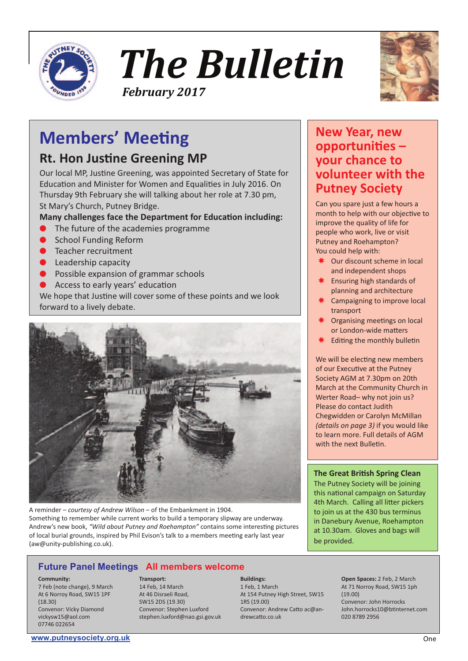

*The Bulletin February 2017*



# **Members' Meeting**

### **Rt. Hon Justine Greening MP**

Our local MP, Justine Greening, was appointed Secretary of State for Education and Minister for Women and Equalities in July 2016. On Thursday 9th February she will talking about her role at 7.30 pm, St Mary's Church, Putney Bridge.

### **Many challenges face the Department for Education including:**

- The future of the academies programme
- **School Funding Reform**
- Teacher recruitment
- Leadership capacity
- Possible expansion of grammar schools
- Access to early years' education

We hope that Justine will cover some of these points and we look forward to a lively debate.



A reminder – *courtesy of Andrew Wilson* – of the Embankment in 1904. Something to remember while current works to build a temporary slipway are underway. Andrew's new book, *"Wild about Putney and Roehampton"* contains some interesting pictures of local burial grounds, inspired by Phil Evison's talk to a members meeting early last year (aw@unity-publishing.co.uk).

### **Future Panel Meetings All members welcome**

#### **Community:**

7 Feb (note change), 9 March At 6 Norroy Road, SW15 1PF (18.30) Convenor: Vicky Diamond vickysw15@aol.com 07746 022654

### **Transport:**

14 Feb, 14 March At 46 Disraeli Road, SW15 2DS (19.30) Convenor: Stephen Luxford stephen.luxford@nao.gsi.gov.uk **Buildings:** 1 Feb, 1 March At 154 Putney High Street, SW15 1RS (19.00) Convenor: Andrew Catto ac@andrewcatto.co.uk

### **New Year, new opportunities – your chance to volunteer with the Putney Society**

Can you spare just a few hours a month to help with our objective to improve the quality of life for people who work, live or visit Putney and Roehampton? You could help with:

- Our discount scheme in local and independent shops
- ✸ Ensuring high standards of planning and architecture
- Campaigning to improve local transport
- ✸ Organising meetings on local or London-wide matters
- Editing the monthly bulletin

We will be electing new members of our Executive at the Putney Society AGM at 7.30pm on 20th March at the Community Church in Werter Road- why not join us? Please do contact Judith Chegwidden or Carolyn McMillan *(details on page 3)* if you would like to learn more. Full details of AGM with the next Bulletin

### **The Great British Spring Clean**

The Putney Society will be joining this national campaign on Saturday 4th March. Calling all litter pickers to join us at the 430 bus terminus in Danebury Avenue, Roehampton at 10.30am. Gloves and bags will be provided.

> **Open Spaces:** 2 Feb, 2 March At 71 Norroy Road, SW15 1ph (19.00) Convenor: John Horrocks John.horrocks10@btinternet.com 020 8789 2956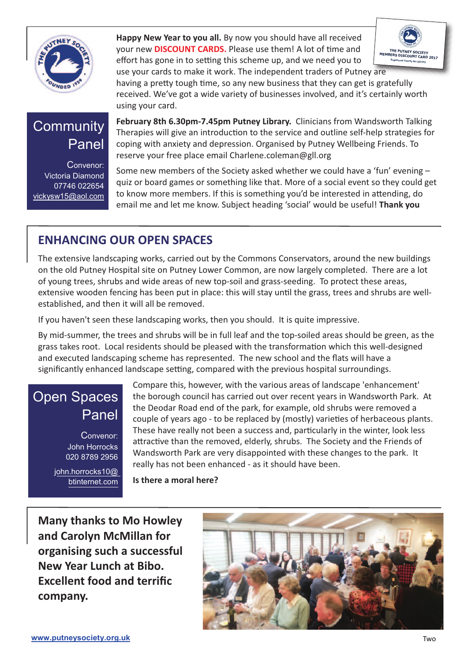

**Happy New Year to you all.** By now you should have all received your new **DISCOUNT CARDS.** Please use them! A lot of time and effort has gone in to setting this scheme up, and we need you to



use your cards to make it work. The independent traders of Putney are having a pretty tough time, so any new business that they can get is gratefully received. We've got a wide variety of businesses involved, and it's certainly worth using your card.

# **Community** Panel

Convenor: Victoria Diamond 07746 022654 vickysw15@aol.com

**February 8th 6.30pm-7.45pm Putney Library.** Clinicians from Wandsworth Talking Therapies will give an introduction to the service and outline self-help strategies for coping with anxiety and depression. Organised by Putney Wellbeing Friends. To reserve your free place email Charlene.coleman@gll.org

Some new members of the Society asked whether we could have a 'fun' evening – quiz or board games or something like that. More of a social event so they could get to know more members. If this is something you'd be interested in attending, do email me and let me know. Subject heading 'social' would be useful! **Thank you**

### **ENHANCING OUR OPEN SPACES**

The extensive landscaping works, carried out by the Commons Conservators, around the new buildings on the old Putney Hospital site on Putney Lower Common, are now largely completed. There are a lot of young trees, shrubs and wide areas of new top-soil and grass-seeding. To protect these areas, extensive wooden fencing has been put in place: this will stay until the grass, trees and shrubs are wellestablished, and then it will all be removed.

If you haven't seen these landscaping works, then you should. It is quite impressive.

By mid-summer, the trees and shrubs will be in full leaf and the top-soiled areas should be green, as the grass takes root. Local residents should be pleased with the transformation which this well-designed and executed landscaping scheme has represented. The new school and the flats will have a significantly enhanced landscape setting, compared with the previous hospital surroundings.

### Open Spaces Panel

Convenor: John Horrocks 020 8789 2956

john.horrocks10@ btinternet.com Compare this, however, with the various areas of landscape 'enhancement' the borough council has carried out over recent years in Wandsworth Park. At the Deodar Road end of the park, for example, old shrubs were removed a couple of years ago - to be replaced by (mostly) varieties of herbaceous plants. These have really not been a success and, particularly in the winter, look less attractive than the removed, elderly, shrubs. The Society and the Friends of Wandsworth Park are very disappointed with these changes to the park. It really has not been enhanced - as it should have been.

**Is there a moral here?**

**Many thanks to Mo Howley and Carolyn McMillan for organising such a successful New Year Lunch at Bibo. Excellent food and terrific company.**

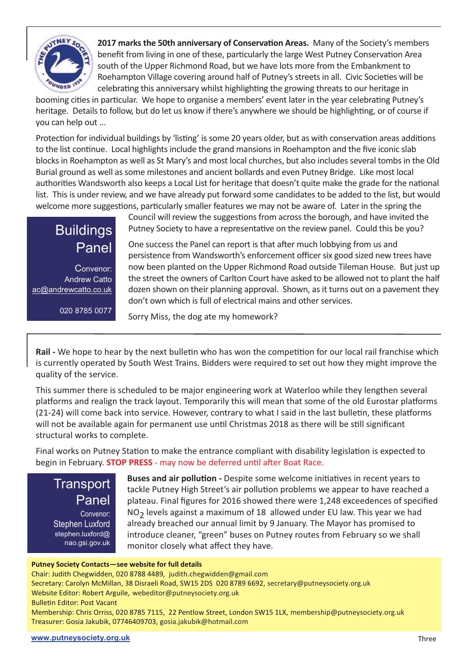

**2017 marksthe 50th anniversary of Conservation Areas.** Many of the Society's members benefit from living in one of these, particularly the large West Putney Conservation Area south of the Upper Richmond Road, but we have lots more from the Embankment to Roehampton Village covering around half of Putney's streets in all. Civic Societies will be celebrating this anniversary whilst highlighting the growing threats to our heritage in

booming cities in particular. We hope to organise a members' event later in the year celebrating Putney's heritage. Details to follow, but do let us know if there's anywhere we should be highlighting, or of course if you can help out ...

Protection for individual buildings by 'listing' is some 20 years older, but as with conservation areas additions to the list continue. Local highlights include the grand mansions in Roehampton and the five iconic slab blocks in Roehampton as well as St Mary's and most local churches, but also includes several tombs in the Old Burial ground as well as some milestones and ancient bollards and even Putney Bridge. Like most local authorities Wandsworth also keeps a Local List for heritage that doesn't quite make the grade for the national list. This is under review, and we have already put forward some candidates to be added to the list, but would welcome more suggestions, particularly smaller features we may not be aware of. Later in the spring the

> Council will review the suggestions from across the borough, and have invited the Putney Society to have a representative on the review panel. Could this be you?

Convenor: Andrew Catto ac@andrewcatto.co.uk

020 8785 0077

**Buildings** 

Panel

One success the Panel can report is that after much lobbying from us and persistence from Wandsworth's enforcement officer six good sized new trees have now been planted on the Upper Richmond Road outside Tileman House. But just up the street the owners of Carlton Court have asked to be allowed not to plant the half dozen shown on their planning approval. Shown, as it turns out on a pavement they don't own which is full of electrical mains and other services.

Sorry Miss, the dog ate my homework?

**Rail -** We hope to hear by the next bulletin who has won the competition for our local rail franchise which is currently operated by South West Trains. Bidders were required to set out how they might improve the quality of the service.

This summer there is scheduled to be major engineering work at Waterloo while they lengthen several platforms and realign the track layout. Temporarily this will mean that some of the old Eurostar platforms (21-24) will come back into service. However, contrary to what I said in the last bulletin, these platforms will not be available again for permanent use until Christmas 2018 as there will be still significant structural works to complete.

Final works on Putney Station to make the entrance compliant with disability legislation is expected to begin in February. **STOP PRESS** - may now be deferred until after Boat Race.

**Transport** Panel Convenor: Stephen Luxford stephen.luxford@ nao.gsi.gov.uk

**Buses and air pollution -** Despite some welcome initiatives in recent years to tackle Putney High Street's air pollution problems we appear to have reached a plateau. Final figures for 2016 showed there were 1,248 exceedences of specified  $NO<sub>2</sub>$  levels against a maximum of 18 allowed under EU law. This year we had already breached our annual limit by 9 January. The Mayor has promised to introduce cleaner, "green" buses on Putney routes from February so we shall monitor closely what affect they have.

### **Putney Society Contacts—see website for full details**

Chair: Judith Chegwidden, 020 8788 4489, judith.chegwidden@gmail.com

Secretary: Carolyn McMillan, 38 Disraeli Road, SW15 2DS 020 8789 6692, secretary@putneysociety.org.uk Website Editor: Robert Arguile, webeditor@putneysociety.org.uk

Bulletin Editor: Post Vacant

Membership: Chris Orriss, 020 8785 7115, 22 Pentlow Street, London SW15 1LX, membership@putneysociety.org.uk Treasurer: Gosia Jakubik, 07746409703, gosia.jakubik@hotmail.com